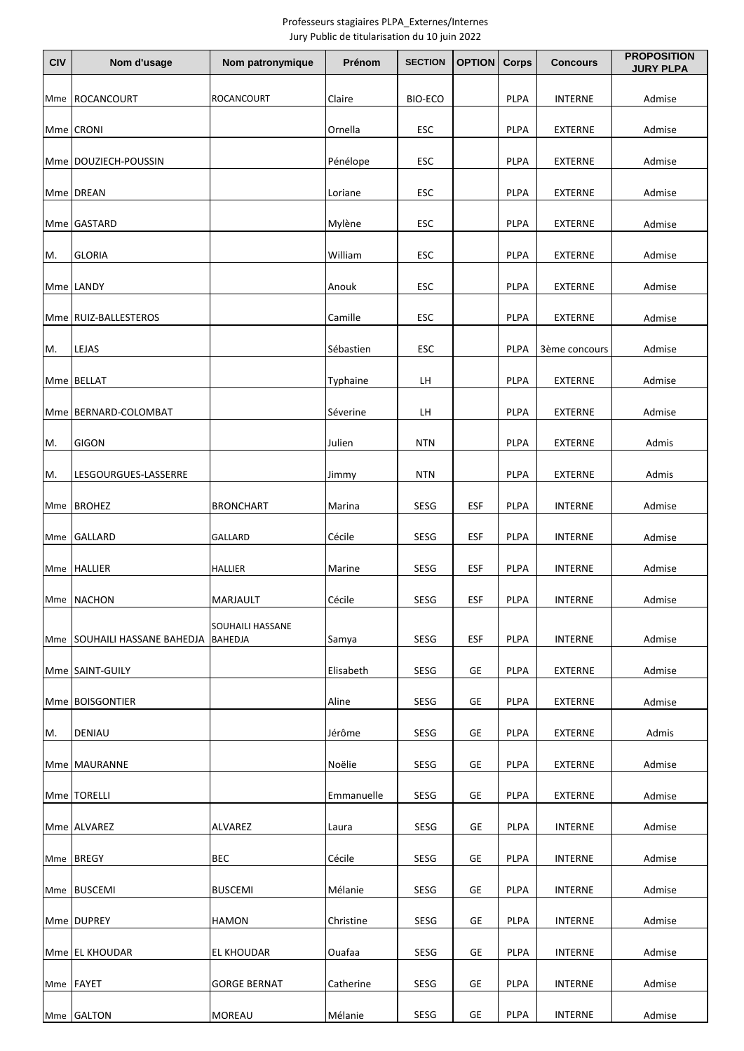## Professeurs stagiaires PLPA\_Externes/Internes Jury Public de titularisation du 10 juin 2022

| <b>CIV</b> | Nom d'usage                     | Nom patronymique            | Prénom     | <b>SECTION</b> | <b>OPTION</b> | Corps       | <b>Concours</b> | <b>PROPOSITION</b><br><b>JURY PLPA</b> |
|------------|---------------------------------|-----------------------------|------------|----------------|---------------|-------------|-----------------|----------------------------------------|
| Mme        | ROCANCOURT                      | <b>ROCANCOURT</b>           | Claire     | <b>BIO-ECO</b> |               | <b>PLPA</b> | <b>INTERNE</b>  | Admise                                 |
|            | Mme CRONI                       |                             | Ornella    | ESC            |               | PLPA        | <b>EXTERNE</b>  | Admise                                 |
|            | Mme   DOUZIECH-POUSSIN          |                             | Pénélope   | ESC            |               | PLPA        | <b>EXTERNE</b>  | Admise                                 |
|            | Mme DREAN                       |                             | Loriane    | ESC            |               | PLPA        | <b>EXTERNE</b>  | Admise                                 |
|            | Mme GASTARD                     |                             | Mylène     | ESC            |               | PLPA        | <b>EXTERNE</b>  | Admise                                 |
| M.         | <b>GLORIA</b>                   |                             | William    | <b>ESC</b>     |               | PLPA        | <b>EXTERNE</b>  | Admise                                 |
|            | Mme LANDY                       |                             | Anouk      | <b>ESC</b>     |               | <b>PLPA</b> | <b>EXTERNE</b>  | Admise                                 |
|            | Mme RUIZ-BALLESTEROS            |                             | Camille    | ESC            |               | PLPA        | <b>EXTERNE</b>  | Admise                                 |
| M.         | LEJAS                           |                             | Sébastien  | ESC            |               | PLPA        | 3ème concours   | Admise                                 |
|            | Mme BELLAT                      |                             | Typhaine   | LH             |               | PLPA        | <b>EXTERNE</b>  | Admise                                 |
|            | Mme BERNARD-COLOMBAT            |                             | Séverine   | LH             |               | PLPA        | <b>EXTERNE</b>  | Admise                                 |
| M.         | <b>GIGON</b>                    |                             | Julien     | <b>NTN</b>     |               | PLPA        | <b>EXTERNE</b>  | Admis                                  |
| M.         | LESGOURGUES-LASSERRE            |                             | Jimmy      | <b>NTN</b>     |               | PLPA        | <b>EXTERNE</b>  | Admis                                  |
| Mme        | <b>BROHEZ</b>                   | BRONCHART                   | Marina     | SESG           | <b>ESF</b>    | PLPA        | <b>INTERNE</b>  | Admise                                 |
|            | Mme GALLARD                     | GALLARD                     | Cécile     | SESG           | ESF           | PLPA        | <b>INTERNE</b>  | Admise                                 |
|            | Mme HALLIER                     | <b>HALLIER</b>              | Marine     | SESG           | <b>ESF</b>    | PLPA        | <b>INTERNE</b>  | Admise                                 |
|            | Mme NACHON                      | MARJAULT                    | Cécile     | SESG           | <b>ESF</b>    | PLPA        | <b>INTERNE</b>  | Admise                                 |
| Mme        | <b>SOUHAILI HASSANE BAHEDJA</b> | SOUHAILI HASSANE<br>BAHEDJA | Samya      | SESG           | <b>ESF</b>    | <b>PLPA</b> | <b>INTERNE</b>  | Admise                                 |
|            | Mme SAINT-GUILY                 |                             | Elisabeth  | SESG           | GE            | PLPA        | <b>EXTERNE</b>  | Admise                                 |
|            | Mme BOISGONTIER                 |                             | Aline      | SESG           | GE            | PLPA        | <b>EXTERNE</b>  | Admise                                 |
| M.         | <b>DENIAU</b>                   |                             | Jérôme     | SESG           | GE            | PLPA        | <b>EXTERNE</b>  | Admis                                  |
|            | Mme MAURANNE                    |                             | Noëlie     | SESG           | GE            | PLPA        | <b>EXTERNE</b>  | Admise                                 |
|            | Mme   TORELLI                   |                             | Emmanuelle | SESG           | GE            | PLPA        | EXTERNE         | Admise                                 |
|            | Mme ALVAREZ                     | ALVAREZ                     | Laura      | SESG           | GE            | PLPA        | <b>INTERNE</b>  | Admise                                 |
|            | Mme BREGY                       | <b>BEC</b>                  | Cécile     | SESG           | GE            | <b>PLPA</b> | <b>INTERNE</b>  | Admise                                 |
|            | Mme BUSCEMI                     | <b>BUSCEMI</b>              | Mélanie    | SESG           | GE            | PLPA        | <b>INTERNE</b>  | Admise                                 |
|            | Mme DUPREY                      | <b>HAMON</b>                | Christine  | SESG           | GE            | PLPA        | <b>INTERNE</b>  | Admise                                 |
|            | Mme EL KHOUDAR                  | EL KHOUDAR                  | Ouafaa     | SESG           | GE            | PLPA        | <b>INTERNE</b>  | Admise                                 |
| Mme        | <b>FAYET</b>                    | <b>GORGE BERNAT</b>         | Catherine  | SESG           | GE            | PLPA        | <b>INTERNE</b>  | Admise                                 |
| Mme        | <b>GALTON</b>                   | <b>MOREAU</b>               | Mélanie    | SESG           | GE            | PLPA        | <b>INTERNE</b>  | Admise                                 |